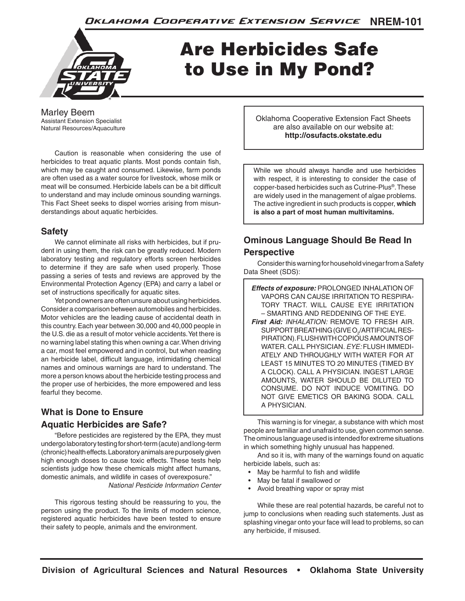

# Are Herbicides Safe to Use in My Pond?

Marley Beem Assistant Extension Specialist Natural Resources/Aquaculture

Caution is reasonable when considering the use of herbicides to treat aquatic plants. Most ponds contain fish, which may be caught and consumed. Likewise, farm ponds are often used as a water source for livestock, whose milk or meat will be consumed. Herbicide labels can be a bit difficult to understand and may include ominous sounding warnings. This Fact Sheet seeks to dispel worries arising from misunderstandings about aquatic herbicides.

## **Safety**

We cannot eliminate all risks with herbicides, but if prudent in using them, the risk can be greatly reduced. Modern laboratory testing and regulatory efforts screen herbicides to determine if they are safe when used properly. Those passing a series of tests and reviews are approved by the Environmental Protection Agency (EPA) and carry a label or set of instructions specifically for aquatic sites.

Yet pond owners are often unsure about using herbicides. Consider a comparison between automobiles and herbicides. Motor vehicles are the leading cause of accidental death in this country. Each year between 30,000 and 40,000 people in the U.S. die as a result of motor vehicle accidents. Yet there is no warning label stating this when owning a car. When driving a car, most feel empowered and in control, but when reading an herbicide label, difficult language, intimidating chemical names and ominous warnings are hard to understand. The more a person knows about the herbicide testing process and the proper use of herbicides, the more empowered and less fearful they become.

## **What is Done to Ensure Aquatic Herbicides are Safe?**

"Before pesticides are registered by the EPA, they must undergo laboratory testing for short-term (acute) and long-term (chronic) health effects. Laboratory animals are purposely given high enough doses to cause toxic effects. These tests help scientists judge how these chemicals might affect humans, domestic animals, and wildlife in cases of overexposure." *National Pesticide Information Center*

This rigorous testing should be reassuring to you, the person using the product. To the limits of modern science, registered aquatic herbicides have been tested to ensure their safety to people, animals and the environment.

Oklahoma Cooperative Extension Fact Sheets are also available on our website at: **http://osufacts.okstate.edu**

While we should always handle and use herbicides with respect, it is interesting to consider the case of copper-based herbicides such as Cutrine-Plus®. These are widely used in the management of algae problems. The active ingredient in such products is copper, **which is also a part of most human multivitamins.** 

# **Ominous Language Should Be Read In Perspective**

Consider this warning for household vinegar from a Safety Data Sheet (SDS):

*Effects of exposure:* PROLONGED INHALATION OF VAPORS CAN CAUSE IRRITATION TO RESPIRA-TORY TRACT. WILL CAUSE EYE IRRITATION – SMARTING AND REDDENING OF THE EYE. *First Aid: INHALATION:* REMOVE TO FRESH AIR.  ${\tt SUPPORT}$ BREATHING (GIVE O $_{\rm 2}$ /ARTIFICIAL RES-PIRATION). FLUSH WITH COPIOUS AMOUNTS OF WATER. CALL PHYSICIAN. *EYE:* FLUSH IMMEDI-ATELY AND THROUGHLY WITH WATER FOR AT LEAST 15 MINUTES TO 20 MINUTES (TIMED BY A CLOCK). CALL A PHYSICIAN. INGEST LARGE AMOUNTS, WATER SHOULD BE DILUTED TO CONSUME. DO NOT INDUCE VOMITING. DO NOT GIVE EMETICS OR BAKING SODA. CALL A PHYSICIAN.

This warning is for vinegar, a substance with which most people are familiar and unafraid to use, given common sense. The ominous language used is intended for extreme situations in which something highly unusual has happened.

And so it is, with many of the warnings found on aquatic herbicide labels, such as:

- May be harmful to fish and wildlife
- May be fatal if swallowed or
- Avoid breathing vapor or spray mist

While these are real potential hazards, be careful not to jump to conclusions when reading such statements. Just as splashing vinegar onto your face will lead to problems, so can any herbicide, if misused.